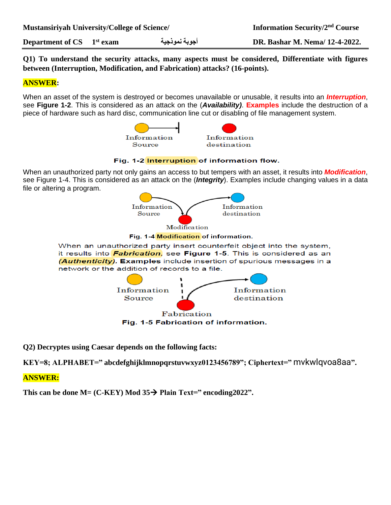**Department of CS 1**

**st exam نموذجية أجوبة DR. Bashar M. Nema/ 12-4-2022.**

**Q1) To understand the security attacks, many aspects must be considered, Differentiate with figures between (Interruption, Modification, and Fabrication) attacks? (16-points).**

#### **ANSWER:**

When an asset of the system is destroyed or becomes unavailable or unusable, it results into an *Interruption*, see **Figure 1-2**. This is considered as an attack on the (*Availability)*. **Examples** include the destruction of a piece of hardware such as hard disc, communication line cut or disabling of file management system.



#### Fig. 1-2 Interruption of information flow.

When an unauthorized party not only gains an access to but tempers with an asset, it results into *Modification*, see Figure 1-4. This is considered as an attack on the (*Integrity*). Examples include changing values in a data file or altering a program.



Fabrication Fig. 1-5 Fabrication of information.

**Q2) Decryptes using Caesar depends on the following facts:**

**KEY=8; ALPHABET=" abcdefghijklmnopqrstuvwxyz0123456789"; Ciphertext="** mvkwlqvoa8aa**".**

#### **ANSWER:**

**This can be done M= (C-KEY) Mod**  $35\rightarrow$  **Plain Text=" encoding**  $2022$ **".**